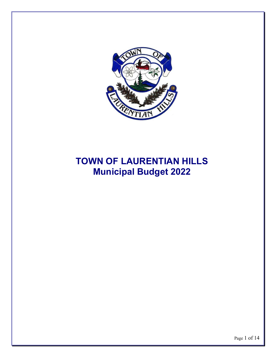

# **TOWN OF LAURENTIAN HILLS Municipal Budget 2022**

Page 1 of 14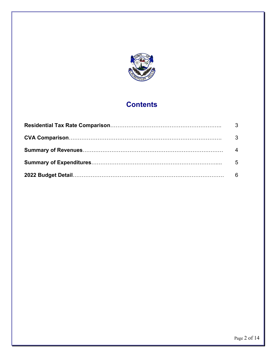

# **Contents**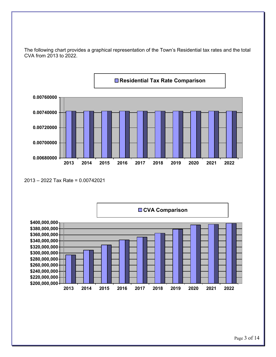

The following chart provides a graphical representation of the Town's Residential tax rates and the total CVA from 2013 to 2022.

<sup>2013 – 2022</sup> Tax Rate = 0.00742021

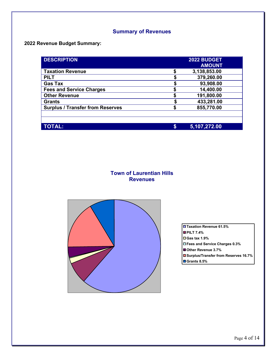# **Summary of Revenues**

# **2022 Revenue Budget Summary:**

| <b>DESCRIPTION</b>                      |    | 2022 BUDGET   |  |
|-----------------------------------------|----|---------------|--|
|                                         |    | <b>AMOUNT</b> |  |
| <b>Taxation Revenue</b>                 |    | 3,138,853.00  |  |
| <b>PILT</b>                             | \$ | 379,260.00    |  |
| <b>Gas Tax</b>                          |    | 93,908.00     |  |
| <b>Fees and Service Charges</b>         |    | 14,400.00     |  |
| <b>Other Revenue</b>                    |    | 191,800.00    |  |
| <b>Grants</b>                           |    | 433,281.00    |  |
| <b>Surplus / Transfer from Reserves</b> | S  | 855,770.00    |  |
|                                         |    |               |  |
|                                         |    |               |  |
| <b>TOTAL:</b>                           | S  | 5,107,272.00  |  |

# **Town of Laurentian Hills Revenues**



**Taxation Revenue 61.5% PILT 7.4% Gas tax 1.9% Fees and Service Charges 0.3% Other Revenue 3.7% Surplus/Transfer from Reserves 16.7% Grants 8.5%**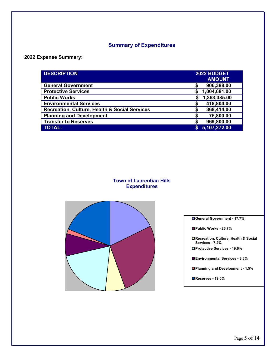# **Summary of Expenditures**

### **2022 Expense Summary:**

| <b>DESCRIPTION</b>                            | 2022 BUDGET |               |  |
|-----------------------------------------------|-------------|---------------|--|
|                                               |             | <b>AMOUNT</b> |  |
| <b>General Government</b>                     | \$          | 906,388.00    |  |
| <b>Protective Services</b>                    | \$          | 1,004,681.00  |  |
| <b>Public Works</b>                           | S           | 1,363,385.00  |  |
| <b>Environmental Services</b>                 | \$          | 418,804.00    |  |
| Recreation, Culture, Health & Social Services | S           | 368,414.00    |  |
| <b>Planning and Development</b>               | S           | 75,800.00     |  |
| <b>Transfer to Reserves</b>                   | S           | 969,800.00    |  |
| <b>TOTAL:</b>                                 |             | 5,107,272.00  |  |

#### **Town of Laurentian Hills Expenditures**



**General Government - 17.7%** 

**Public Works - 26.7%**

**Recreation, Culture, Health & Social Services - 7.2%**

**Protective Services - 19.6%**

**Environmental Services - 8.3%**

**Planning and Development - 1.5%**

**Reserves - 19.0%**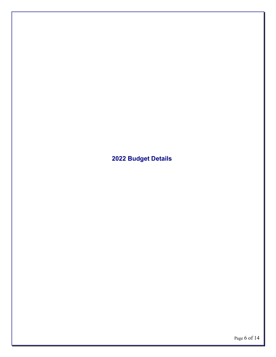**2022 Budget Details**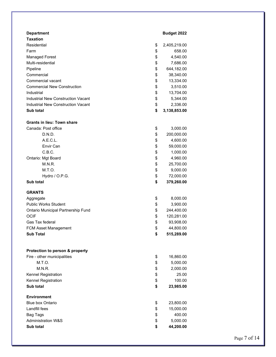| <b>Department</b><br><b>Taxation</b>      | Budget 2022        |
|-------------------------------------------|--------------------|
| Residential                               | \$<br>2,405,219.00 |
| Farm                                      | \$<br>658.00       |
| <b>Managed Forest</b>                     | \$<br>4,540.00     |
| Multi-residential                         | \$<br>7,686.00     |
| Pipeline                                  | \$<br>644,182.00   |
| Commercial                                | \$<br>38,340.00    |
| Commercial vacant                         | \$<br>13,334.00    |
| <b>Commercial New Construction</b>        | \$<br>3,510.00     |
| Industrial                                | \$<br>13,704.00    |
| <b>Industrial New Construction Vacant</b> | \$<br>5,344.00     |
| <b>Industrial New Construction Vacant</b> | \$<br>2,336.00     |
| Sub total                                 | \$<br>3,138,853.00 |
| <b>Grants in lieu: Town share</b>         |                    |
| Canada: Post office                       | \$<br>3,000.00     |
| D.N.D.                                    | \$<br>200,000.00   |
| A.E.C.L.                                  | \$<br>4,600.00     |
| Envir Can                                 | \$<br>59,000.00    |
| C.B.C.                                    | \$<br>1,000.00     |
| Ontario: Mgt Board                        | \$<br>4,960.00     |
| M.N.R.                                    | \$<br>25,700.00    |
| M.T.O.                                    | \$<br>9,000.00     |
| Hydro / O.P.G.                            | \$<br>72,000.00    |
| <b>Sub total</b>                          | \$<br>379,260.00   |
| <b>GRANTS</b>                             |                    |
| Aggregate                                 | \$<br>8,000.00     |
| <b>Public Works Student</b>               | \$<br>3,900.00     |
| Ontario Municipal Partnership Fund        | \$<br>244,400.00   |
| <b>OCIF</b>                               | \$<br>120,281.00   |
| Gas Tax federal                           | \$<br>93,908.00    |
| FCM Asset Management                      | \$<br>44,800.00    |
| <b>Sub Total</b>                          | \$<br>515,289.00   |
| Protection to person & property           |                    |
| Fire - other municipalities               | \$<br>16,860.00    |
| M.T.O.                                    | \$<br>5,000.00     |
| M.N.R.                                    | \$<br>2,000.00     |
| Kennel Registration                       | \$<br>25.00        |
| Kennel Registration                       | \$<br>100.00       |
| Sub total                                 | \$<br>23,985.00    |
| <b>Environment</b>                        |                    |
| <b>Blue box Ontario</b>                   | \$<br>23,800.00    |
| Landfill fees                             | \$<br>15,000.00    |
| <b>Bag Tags</b>                           | \$<br>400.00       |
| <b>Administration W&amp;S</b>             | \$<br>5,000.00     |
| Sub total                                 | \$<br>44,200.00    |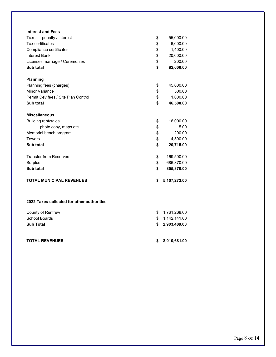| <b>Interest and Fees</b>                   |                    |
|--------------------------------------------|--------------------|
| Taxes - penalty / interest                 | \$<br>55,000.00    |
| Tax certificates                           | \$<br>6,000.00     |
| Compliance certificates                    | \$<br>1,400.00     |
| <b>Interest Bank</b>                       | \$<br>20,000.00    |
| Licenses marriage / Ceremonies             | \$<br>200.00       |
| Sub total                                  | \$<br>82,600.00    |
| <b>Planning</b>                            |                    |
| Planning fees (charges)                    | \$<br>45,000.00    |
| <b>Minor Variance</b>                      | \$<br>500.00       |
| Permit Dev fees / Site Plan Control        | \$<br>1,000.00     |
| Sub total                                  | \$<br>46,500.00    |
| <b>Miscellaneous</b>                       |                    |
| <b>Building rent/sales</b>                 | \$<br>16,000.00    |
| photo copy, maps etc.                      | \$<br>15.00        |
| Memorial bench program                     | \$<br>200.00       |
| <b>Towers</b>                              | \$<br>4,500.00     |
| Sub total                                  | \$<br>20,715.00    |
| <b>Transfer from Reserves</b>              | \$<br>169,500.00   |
| Surplus                                    | \$<br>686,370.00   |
| Sub total                                  | \$<br>855,870.00   |
| <b>TOTAL MUNICIPAL REVENUES</b>            | \$<br>5,107,272.00 |
| 2022 Taxes collected for other authorities |                    |
| County of Renfrew                          | \$<br>1,761,268.00 |
| <b>School Boards</b>                       | \$<br>1,142,141.00 |
| <b>Sub Total</b>                           | \$<br>2,903,409.00 |
|                                            |                    |

#### **TOTAL REVENUES \$ 8,010,681.00**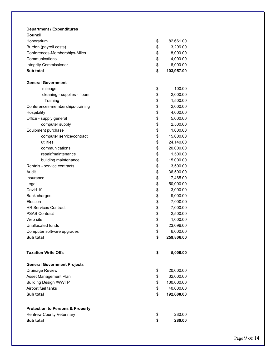| <b>Department / Expenditures</b><br>Council |                  |
|---------------------------------------------|------------------|
| Honorarium                                  | \$<br>82,661.00  |
| Burden (payroll costs)                      | \$<br>3,296.00   |
| Conferences-Memberships-Miles               | \$<br>8,000.00   |
| Communications                              | \$<br>4,000.00   |
| <b>Integrity Commissioner</b>               | \$<br>6,000.00   |
| Sub total                                   | \$<br>103,957.00 |
|                                             |                  |
| <b>General Government</b>                   |                  |
| mileage                                     | \$<br>100.00     |
| cleaning - supplies - floors                | \$<br>2,000.00   |
| Training                                    | \$<br>1,500.00   |
| Conferences-memberships-training            | \$<br>2,000.00   |
| Hospitality                                 | \$<br>4,000.00   |
| Office - supply general                     | \$<br>5,000.00   |
| computer supply                             | \$<br>2,500.00   |
| Equipment purchase                          | \$<br>1,000.00   |
| computer service/contract                   | \$<br>15,000.00  |
| utilities                                   | \$<br>24,140.00  |
| communications                              | \$<br>20,000.00  |
| repair/maintenance                          | \$<br>1,500.00   |
| building maintenance                        | \$<br>15,000.00  |
| Rentals - service contracts                 | \$<br>3,500.00   |
| Audit                                       | \$<br>36,500.00  |
| Insurance                                   | \$<br>17,465.00  |
| Legal                                       | \$<br>50,000.00  |
| Covid 19                                    | \$<br>3,000.00   |
| Bank charges                                | \$<br>9,000.00   |
| Election                                    | \$<br>7,000.00   |
| <b>HR Services Contract</b>                 | \$<br>7,000.00   |
| <b>PSAB Contract</b>                        | \$<br>2,500.00   |
| Web site                                    | \$<br>1,000.00   |
| Unallocated funds                           | \$<br>23,096.00  |
| Computer software upgrades                  | \$<br>6,000.00   |
| Sub total                                   | \$<br>259,806.00 |
| <b>Taxation Write Offs</b>                  |                  |
|                                             | \$<br>5,000.00   |
| <b>General Government Projects</b>          |                  |
| Drainage Review                             | \$<br>20,600.00  |
| Asset Management Plan                       | \$<br>32,000.00  |
| <b>Building Design /WWTP</b>                | \$<br>100,000.00 |
| Airport fuel tanks                          | \$<br>40,000.00  |
| Sub total                                   | \$<br>192,600.00 |
| <b>Protection to Persons &amp; Property</b> |                  |
| <b>Renfrew County Veterinary</b>            | \$<br>280.00     |
| Sub total                                   | \$<br>280.00     |
|                                             |                  |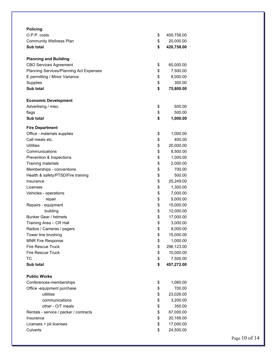| <b>Policing</b>                                       |                  |
|-------------------------------------------------------|------------------|
| O.P.P. costs                                          | \$<br>400,758.00 |
| <b>Community Wellness Plan</b>                        | \$<br>20,000.00  |
| Sub total                                             | \$<br>420,758.00 |
|                                                       |                  |
| <b>Planning and Building</b>                          |                  |
| <b>CBO Services Agreement</b>                         | \$<br>60,000.00  |
| Planning Services/Planning Act Expenses               | \$<br>7,500.00   |
| E permitting / Minor Variance                         | \$<br>8,000.00   |
| Supplies                                              | \$<br>300.00     |
| Sub total                                             | \$<br>75,800.00  |
| <b>Economic Development</b>                           |                  |
| Advertising / misc.                                   | \$<br>500.00     |
| flags                                                 | \$<br>500.00     |
| <b>Sub total</b>                                      | \$<br>1,000.00   |
|                                                       |                  |
| <b>Fire Department</b><br>Office - materials supplies |                  |
| Call meals etc.                                       | \$<br>1,000.00   |
| <b>Utilities</b>                                      | \$<br>400.00     |
|                                                       | \$<br>20,000.00  |
| Communications                                        | \$<br>8,500.00   |
| Prevention & Inspections                              | \$<br>1,000.00   |
| Training materials                                    | \$<br>2,000.00   |
| Memberships - conventions                             | \$<br>700.00     |
| Health & safety/PTSD/Fire training                    | \$<br>500.00     |
| Insurance                                             | \$<br>25,249.00  |
| Licenses                                              | \$<br>1,300.00   |
| Vehicles - operations                                 | \$<br>7,000.00   |
| repair                                                | \$<br>5,000.00   |
| Repairs - equipment                                   | \$<br>15,000.00  |
| building                                              | \$<br>12,000.00  |
| Bunker Gear / helmets                                 | \$<br>17,000.00  |
| Training Area - CR Hall                               | \$<br>3,000.00   |
| Radios / Cameras / pagers                             | \$<br>8,000.00   |
| Tower line brushing                                   | \$<br>15,000.00  |
| <b>MNR Fire Response</b>                              | \$<br>1,000.00   |
| <b>Fire Rescue Truck</b>                              | \$<br>296,123.00 |
| <b>Fire Rescue Truck</b>                              | \$<br>10,000.00  |
| <b>TC</b>                                             | \$<br>7,500.00   |
| Sub total                                             | \$<br>457,272.00 |
| <b>Public Works</b>                                   |                  |
| Conferences-memberships                               | \$<br>1,060.00   |
| Office -equipment purchase                            | \$<br>700.00     |
| utilities                                             | \$<br>23,026.00  |
| communications                                        | \$<br>3,200.00   |
| other - O/T meals                                     | \$<br>350.00     |
| Rentals - service / packer / contracts                | \$<br>67,000.00  |
| Insurance                                             | \$<br>20,169.00  |
| Licenses + pit licenses                               | \$<br>17,000.00  |
| Culverts                                              | \$<br>24,500.00  |
|                                                       |                  |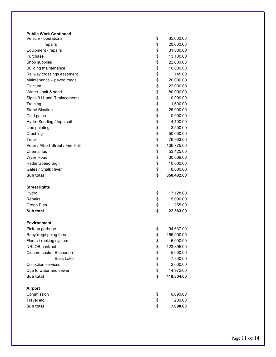| <b>Public Work Continued</b><br>Vehicle - operations | \$<br>85,000.00  |
|------------------------------------------------------|------------------|
| repairs                                              | \$<br>20,000.00  |
| Equipment - repairs                                  | \$<br>31,000.00  |
| Purchase                                             | \$<br>13,100.00  |
| Shop supplies                                        | \$<br>22,800.00  |
| <b>Building maintenance</b>                          | \$<br>10,000.00  |
| Railway crossings easement                           | \$<br>145.00     |
| Maintenance - paved roads                            | \$<br>20,000.00  |
| Calcium                                              | \$<br>22,000.00  |
| Winter - salt & sand                                 | \$<br>80,000.00  |
| Signs 911 and Replacements                           | \$<br>10,000.00  |
| Training                                             | \$<br>1,600.00   |
| <b>Stone Blasting</b>                                | \$<br>25,000.00  |
| Cold patch                                           | \$<br>10,000.00  |
| Hydro Seeding / tope soil                            | \$<br>4,100.00   |
| Line painting                                        | \$<br>3,500.00   |
| Crushing                                             | \$<br>50,000.00  |
| <b>Truck</b>                                         | \$<br>76,963.00  |
| Peter / Albert Street / Fire Hall                    | \$<br>106,775.00 |
| Chemainus                                            | \$<br>53,425.00  |
| <b>Wylie Road</b>                                    | \$<br>30,069.00  |
| Radar Speed Sign                                     | \$<br>10,000.00  |
| Gates / Chalk River                                  | \$<br>8,000.00   |
| Sub total                                            | \$<br>850,482.00 |
| <b>Street lights</b>                                 |                  |
| Hydro                                                | \$<br>17,128.00  |
| Repairs                                              | \$<br>5,000.00   |
| Green Plan                                           | \$<br>255.00     |
| Sub total                                            | \$<br>22,383.00  |
| <b>Environment</b>                                   |                  |
| Pick-up garbage                                      | \$<br>94,637.00  |
| Recycling/tipping fees                               | \$<br>165,000.00 |
| Floors / racking system                              | \$<br>6,000.00   |
| NRLOB contract                                       | \$<br>123,895.00 |
| Closure costs - Buchanan                             | \$<br>5,000.00   |
| <b>Bass Lake</b>                                     | \$<br>7,300.00   |
| <b>Collection services</b>                           | \$<br>2,000.00   |
| Due to water and sewer                               | \$<br>14,972.00  |
| Sub total                                            | \$<br>418,804.00 |
| <b>Airport</b>                                       |                  |
| Commission                                           | \$<br>6,890.00   |
| Travel etc.                                          | \$<br>200.00     |
| Sub total                                            | \$<br>7,090.00   |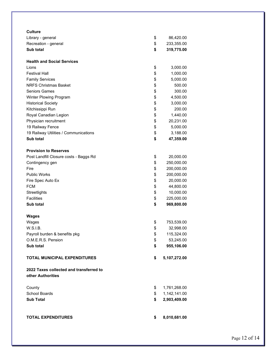| Culture                                 |                    |
|-----------------------------------------|--------------------|
| Library - general                       | \$<br>86,420.00    |
| Recreation - general                    | \$<br>233,355.00   |
| Sub total                               | \$<br>319,775.00   |
| <b>Health and Social Services</b>       |                    |
| Lions                                   | \$<br>3,000.00     |
| <b>Festival Hall</b>                    | \$<br>1,000.00     |
| <b>Family Services</b>                  | \$<br>5,000.00     |
| <b>NRFS Christmas Basket</b>            | \$<br>500.00       |
| <b>Seniors Games</b>                    | \$<br>300.00       |
| Winter Plowing Program                  | \$<br>4,500.00     |
| <b>Historical Society</b>               | \$<br>3,000.00     |
| Kitchissippi Run                        | \$<br>200.00       |
| Royal Canadian Legion                   | \$<br>1,440.00     |
| Physician recruitment                   | \$<br>20,231.00    |
| 19 Railway Fence                        | \$<br>5,000.00     |
| 19 Railway Utilities / Communications   | \$<br>3,188.00     |
| Sub total                               | \$<br>47,359.00    |
| <b>Provision to Reserves</b>            |                    |
| Post Landfill Closure costs - Baggs Rd  | \$<br>20,000.00    |
| Contingency gen                         | \$<br>250,000.00   |
| Fire                                    | \$<br>200,000.00   |
| <b>Public Works</b>                     | \$<br>200,000.00   |
| Fire Spec Auto Ex                       | \$<br>20,000.00    |
| <b>FCM</b>                              | \$<br>44,800.00    |
| Streetlights                            | \$<br>10,000.00    |
| <b>Facilities</b>                       | \$<br>225,000.00   |
| Sub total                               | \$<br>969,800.00   |
| Wages                                   |                    |
| Wages                                   | \$<br>753,539.00   |
| W.S.I.B.                                | \$<br>32,998.00    |
| Payroll burden & benefits pkg           | \$<br>115,324.00   |
| O.M.E.R.S. Pension                      | \$<br>53,245.00    |
| Sub total                               | \$<br>955,106.00   |
| <b>TOTAL MUNICIPAL EXPENDITURES</b>     | \$<br>5,107,272.00 |
| 2022 Taxes collected and transferred to |                    |
| other Authorities                       |                    |
| County                                  | \$<br>1,761,268.00 |
| School Boards                           | \$<br>1,142,141.00 |
| <b>Sub Total</b>                        | \$<br>2,903,409.00 |
|                                         |                    |
| <b>TOTAL EXPENDITURES</b>               | \$<br>8,010,681.00 |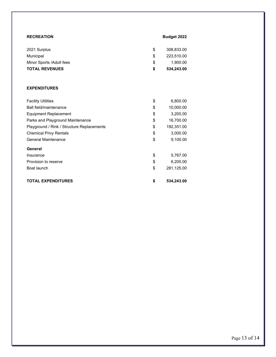|     | <b>Budget 2022</b> |
|-----|--------------------|
| \$. | 308,833.00         |
| \$  | 223.510.00         |
| \$  | 1.900.00           |
| \$  | 534,243.00         |
|     |                    |

#### **EXPENDITURES**

| <b>Facility Utilities</b>                  | \$<br>6,800.00   |
|--------------------------------------------|------------------|
| Ball field/maintenance                     | \$<br>10,000.00  |
| Equipment Replacement                      | \$<br>3,200.00   |
| Parks and Playground Maintenance           | \$<br>16,700.00  |
| Playground / Rink / Structure Replacements | \$<br>192,351.00 |
| <b>Chemical Privy Rentals</b>              | \$<br>3,000.00   |
| <b>General Maintenance</b>                 | \$<br>9,100.00   |
| General                                    |                  |
| Insurance                                  | \$<br>5,767.00   |
| Provision to reserve                       | \$<br>6,200.00   |
| Boat launch                                | \$<br>281,125.00 |
| <b>TOTAL EXPENDITURES</b>                  | \$<br>534,243.00 |